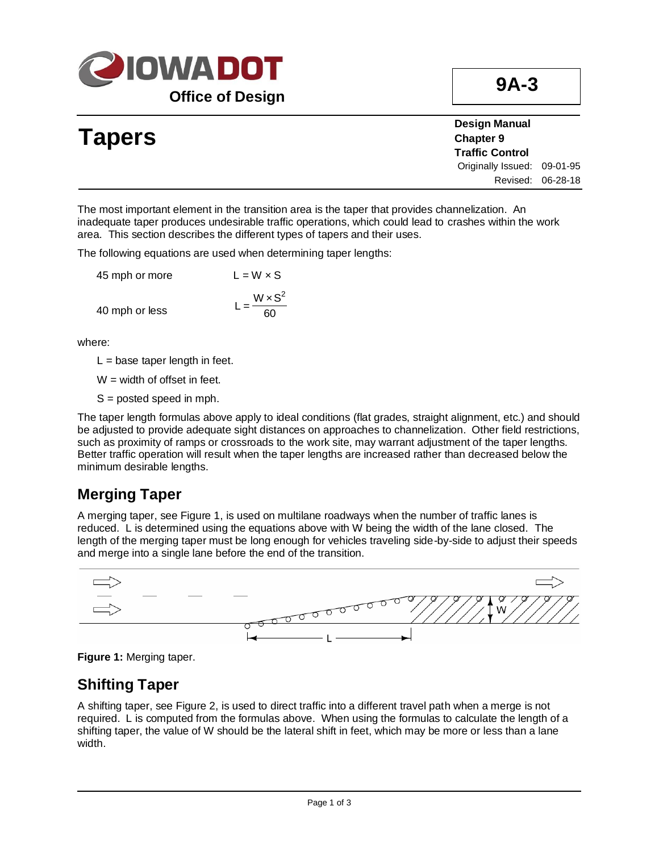

|               | <b>Design Manual</b>        |
|---------------|-----------------------------|
| <b>Tapers</b> | <b>Chapter 9</b>            |
|               | <b>Traffic Control</b>      |
|               | Originally Issued: 09-01-95 |
|               | Revised: 06-28-18           |
|               |                             |

The most important element in the transition area is the taper that provides channelization. An inadequate taper produces undesirable traffic operations, which could lead to crashes within the work area. This section describes the different types of tapers and their uses.

The following equations are used when determining taper lengths:

| 45 mph or more | $L = W \times S$          |
|----------------|---------------------------|
|                | $=\frac{W \times S^2}{4}$ |
| 40 mph or less | 60                        |

where:

 $L =$  base taper length in feet.

 $W =$  width of offset in feet.

S = posted speed in mph.

The taper length formulas above apply to ideal conditions (flat grades, straight alignment, etc.) and should be adjusted to provide adequate sight distances on approaches to channelization. Other field restrictions, such as proximity of ramps or crossroads to the work site, may warrant adjustment of the taper lengths. Better traffic operation will result when the taper lengths are increased rather than decreased below the minimum desirable lengths.

#### **Merging Taper**

A merging taper, see Figure 1, is used on multilane roadways when the number of traffic lanes is reduced. L is determined using the equations above with W being the width of the lane closed. The length of the merging taper must be long enough for vehicles traveling side-by-side to adjust their speeds and merge into a single lane before the end of the transition.





#### **Shifting Taper**

A shifting taper, see Figure 2, is used to direct traffic into a different travel path when a merge is not required. L is computed from the formulas above. When using the formulas to calculate the length of a shifting taper, the value of W should be the lateral shift in feet, which may be more or less than a lane width.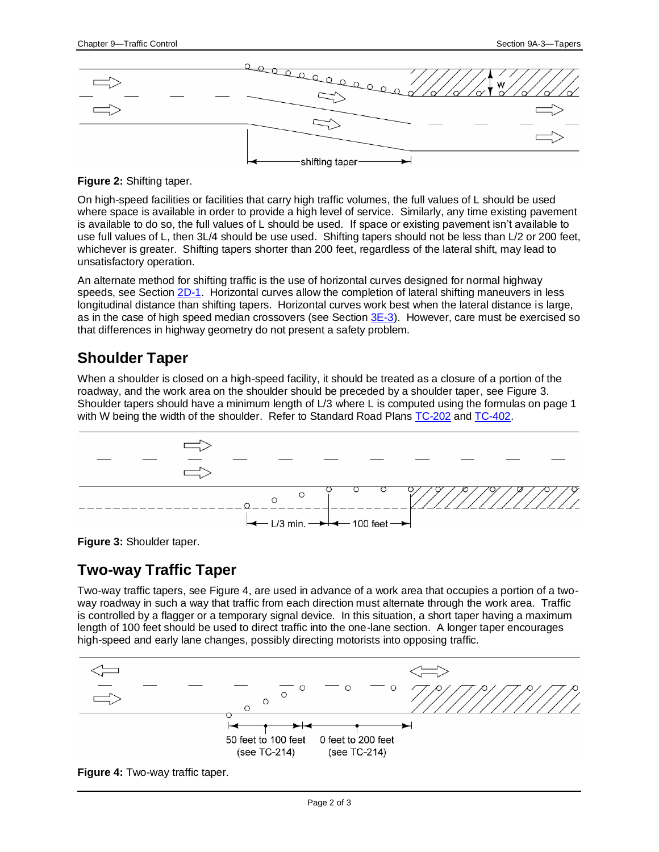

**Figure 2:** Shifting taper.

On high-speed facilities or facilities that carry high traffic volumes, the full values of L should be used where space is available in order to provide a high level of service. Similarly, any time existing pavement is available to do so, the full values of L should be used. If space or existing pavement isn't available to use full values of L, then 3L/4 should be use used. Shifting tapers should not be less than L/2 or 200 feet, whichever is greater. Shifting tapers shorter than 200 feet, regardless of the lateral shift, may lead to unsatisfactory operation.

An alternate method for shifting traffic is the use of horizontal curves designed for normal highway speeds, see Section [2D-1.](02d-01.pdf) Horizontal curves allow the completion of lateral shifting maneuvers in less longitudinal distance than shifting tapers. Horizontal curves work best when the lateral distance is large, as in the case of high speed median crossovers (see Section  $3E-3$ ). However, care must be exercised so that differences in highway geometry do not present a safety problem.

### **Shoulder Taper**

When a shoulder is closed on a high-speed facility, it should be treated as a closure of a portion of the roadway, and the work area on the shoulder should be preceded by a shoulder taper, see Figure 3. Shoulder tapers should have a minimum length of L/3 where L is computed using the formulas on page 1 with W being the width of the shoulder. Refer to Standard Road Plan[s TC-202](../SRP/IndividualStandards/tc202.pdf) and [TC-402.](../SRP/IndividualStandards/tc402.pdf)



**Figure 3:** Shoulder taper.

### **Two-way Traffic Taper**

Two-way traffic tapers, see Figure 4, are used in advance of a work area that occupies a portion of a twoway roadway in such a way that traffic from each direction must alternate through the work area. Traffic is controlled by a flagger or a temporary signal device. In this situation, a short taper having a maximum length of 100 feet should be used to direct traffic into the one-lane section. A longer taper encourages high-speed and early lane changes, possibly directing motorists into opposing traffic.



**Figure 4:** Two-way traffic taper.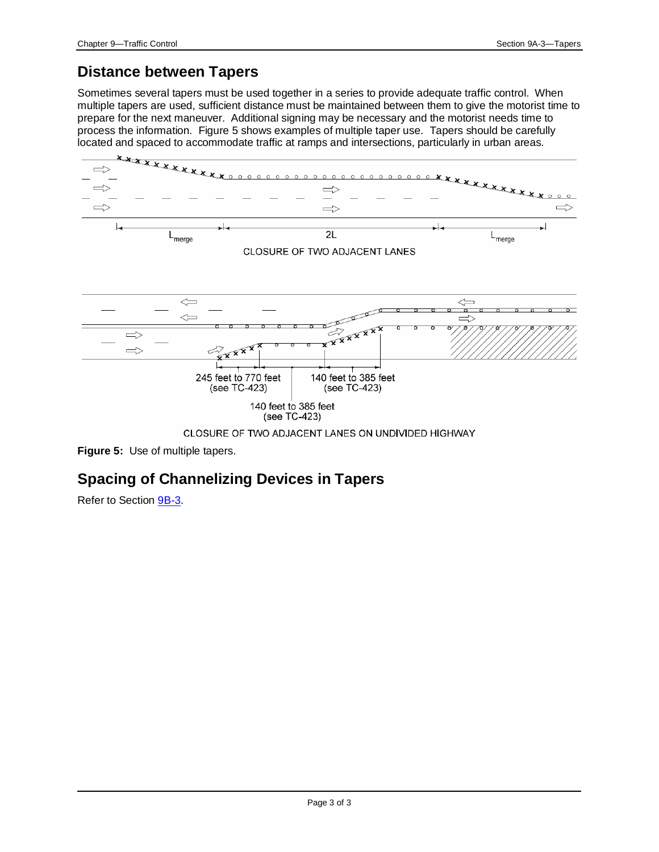## **Distance between Tapers**

Sometimes several tapers must be used together in a series to provide adequate traffic control. When multiple tapers are used, sufficient distance must be maintained between them to give the motorist time to prepare for the next maneuver. Additional signing may be necessary and the motorist needs time to process the information. Figure 5 shows examples of multiple taper use. Tapers should be carefully located and spaced to accommodate traffic at ramps and intersections, particularly in urban areas.



**Figure 5:** Use of multiple tapers.

## **Spacing of Channelizing Devices in Tapers**

Refer to Section **9B-3**.